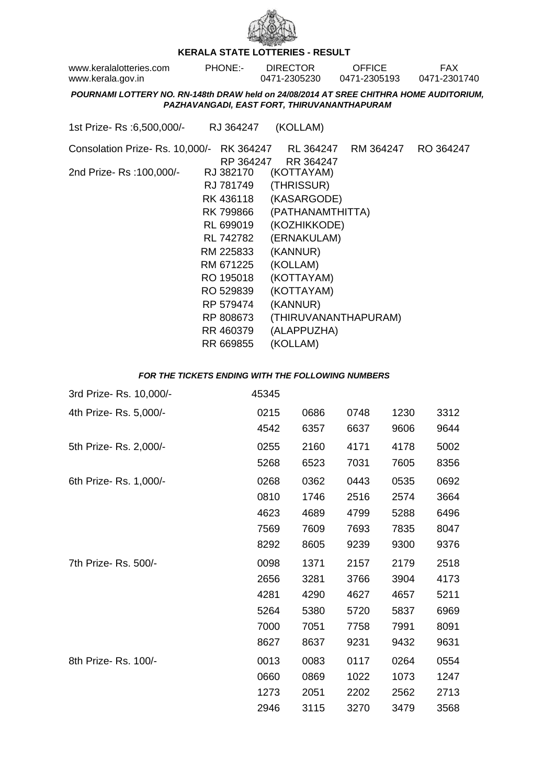

## **KERALA STATE LOTTERIES - RESULT**

| www.keralalotteries.com | PHONE:- | <b>DIRECTOR</b> | OFFICE       | FAX          |
|-------------------------|---------|-----------------|--------------|--------------|
| www.kerala.gov.in       |         | 0471-2305230    | 0471-2305193 | 0471-2301740 |

**POURNAMI LOTTERY NO. RN-148th DRAW held on 24/08/2014 AT SREE CHITHRA HOME AUDITORIUM, PAZHAVANGADI, EAST FORT, THIRUVANANTHAPURAM**

| 1st Prize- Rs :6,500,000/- | RJ 364247 | (KOLLAM) |
|----------------------------|-----------|----------|
|----------------------------|-----------|----------|

Consolation Prize- Rs. 10,000/- RK 364247 RL 364247 RM 364247 RO 364247 RP 364247 RR 364247 2nd Prize- Rs :100,000/- RJ 382170 (KOTTAYAM) RJ 781749 (THRISSUR) RK 436118 (KASARGODE) RK 799866 (PATHANAMTHITTA) RL 699019 (KOZHIKKODE) RL 742782 (ERNAKULAM) RM 225833 (KANNUR) RM 671225 (KOLLAM) RO 195018 (KOTTAYAM) RO 529839 (KOTTAYAM) RP 579474 (KANNUR) RP 808673 (THIRUVANANTHAPURAM) RR 460379 (ALAPPUZHA) RR 669855 (KOLLAM)

## **FOR THE TICKETS ENDING WITH THE FOLLOWING NUMBERS**

| 3rd Prize- Rs. 10,000/- | 45345 |      |      |      |      |
|-------------------------|-------|------|------|------|------|
| 4th Prize-Rs. 5,000/-   | 0215  | 0686 | 0748 | 1230 | 3312 |
|                         | 4542  | 6357 | 6637 | 9606 | 9644 |
| 5th Prize- Rs. 2,000/-  | 0255  | 2160 | 4171 | 4178 | 5002 |
|                         | 5268  | 6523 | 7031 | 7605 | 8356 |
| 6th Prize-Rs. 1,000/-   | 0268  | 0362 | 0443 | 0535 | 0692 |
|                         | 0810  | 1746 | 2516 | 2574 | 3664 |
|                         | 4623  | 4689 | 4799 | 5288 | 6496 |
|                         | 7569  | 7609 | 7693 | 7835 | 8047 |
|                         | 8292  | 8605 | 9239 | 9300 | 9376 |
| 7th Prize- Rs. 500/-    | 0098  | 1371 | 2157 | 2179 | 2518 |
|                         | 2656  | 3281 | 3766 | 3904 | 4173 |
|                         | 4281  | 4290 | 4627 | 4657 | 5211 |
|                         | 5264  | 5380 | 5720 | 5837 | 6969 |
|                         | 7000  | 7051 | 7758 | 7991 | 8091 |
|                         | 8627  | 8637 | 9231 | 9432 | 9631 |
| 8th Prize-Rs. 100/-     | 0013  | 0083 | 0117 | 0264 | 0554 |
|                         | 0660  | 0869 | 1022 | 1073 | 1247 |
|                         | 1273  | 2051 | 2202 | 2562 | 2713 |
|                         | 2946  | 3115 | 3270 | 3479 | 3568 |